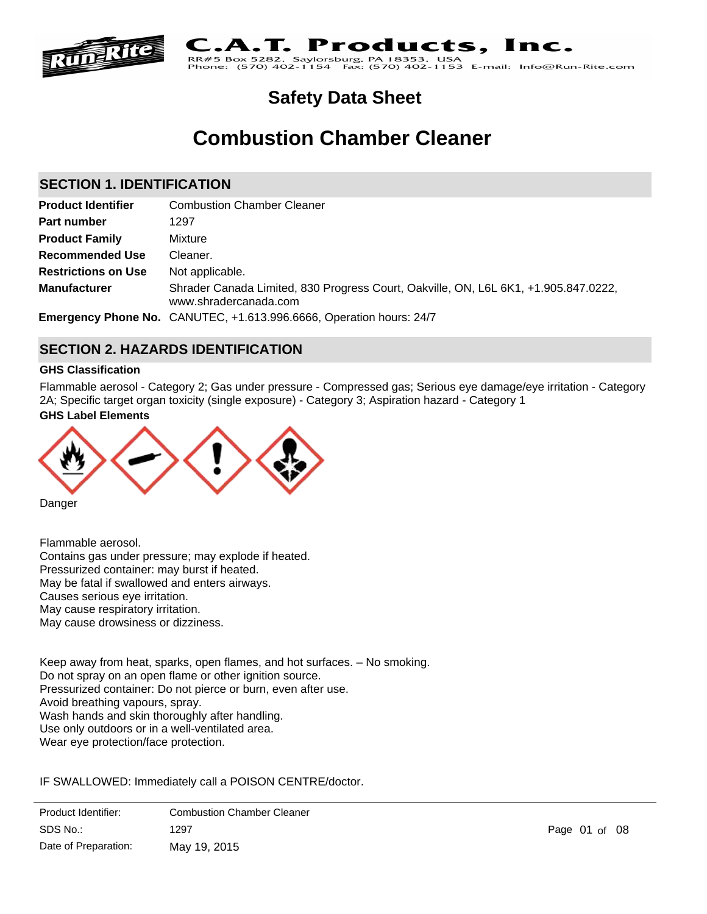

#### Products. Inc. .A.T. **RR#5 Box 5282**

sburg, PA 18353, <mark>USA</mark><br>↓ Fax: (570) 402-1153 E-mail: Info@Run-Rite.com ox 5282, Saylors<br>(570) 402-1154 Phone:

# **Safety Data Sheet**

# **Combustion Chamber Cleaner**

# **SECTION 1. IDENTIFICATION**

| <b>Product Identifier</b>  | <b>Combustion Chamber Cleaner</b>                                                                            |
|----------------------------|--------------------------------------------------------------------------------------------------------------|
| Part number                | 1297                                                                                                         |
| <b>Product Family</b>      | Mixture                                                                                                      |
| <b>Recommended Use</b>     | Cleaner.                                                                                                     |
| <b>Restrictions on Use</b> | Not applicable.                                                                                              |
| <b>Manufacturer</b>        | Shrader Canada Limited, 830 Progress Court, Oakville, ON, L6L 6K1, +1.905.847.0222,<br>www.shradercanada.com |
|                            | Emergency Phone No. CANUTEC, +1.613.996.6666, Operation hours: 24/7                                          |

# **SECTION 2. HAZARDS IDENTIFICATION**

# **GHS Classification**

Flammable aerosol - Category 2; Gas under pressure - Compressed gas; Serious eye damage/eye irritation - Category 2A; Specific target organ toxicity (single exposure) - Category 3; Aspiration hazard - Category 1

# **GHS Label Elements**



Danger

Flammable aerosol. Contains gas under pressure; may explode if heated. Pressurized container: may burst if heated. May be fatal if swallowed and enters airways. Causes serious eye irritation. May cause respiratory irritation. May cause drowsiness or dizziness.

Keep away from heat, sparks, open flames, and hot surfaces. – No smoking. Do not spray on an open flame or other ignition source. Pressurized container: Do not pierce or burn, even after use. Avoid breathing vapours, spray. Wash hands and skin thoroughly after handling. Use only outdoors or in a well-ventilated area. Wear eye protection/face protection.

IF SWALLOWED: Immediately call a POISON CENTRE/doctor.

Product Identifier: Combustion Chamber Cleaner<br>
Remove contact and easy to do. New York and easy to do. New York and easy to do. New York and easy to do. New York and easy to do. New York and easy to do. New York and easy SDS No.:  $\overline{C}$ Date of Preparation: 1297 Page 01 of 08 May 19, 2015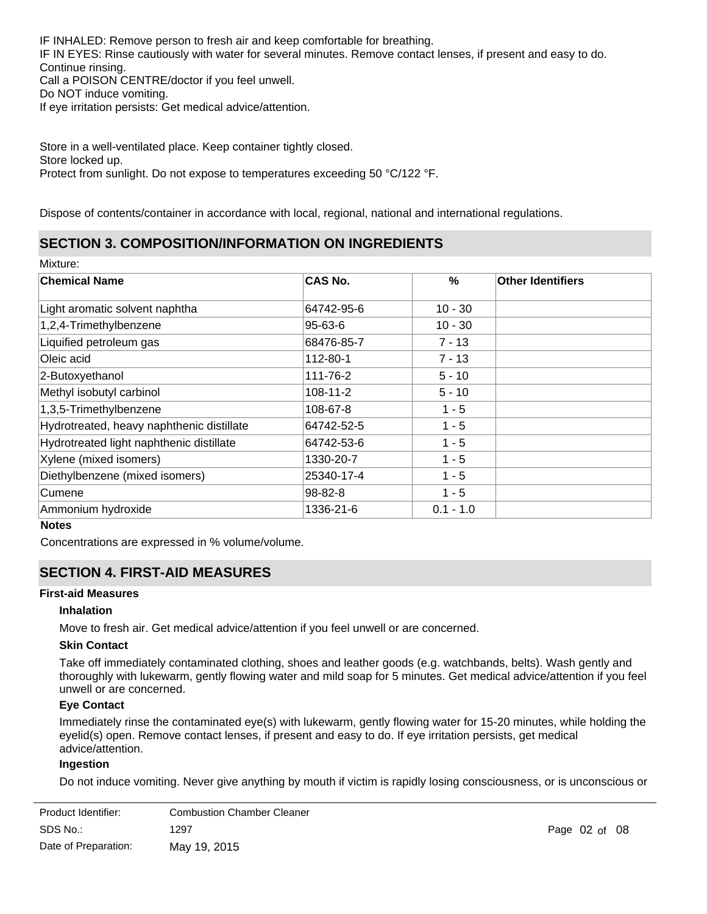IF INHALED: Remove person to fresh air and keep comfortable for breathing. IF IN EYES: Rinse cautiously with water for several minutes. Remove contact lenses, if present and easy to do. Continue rinsing. Call a POISON CENTRE/doctor if you feel unwell. Do NOT induce vomiting. If eye irritation persists: Get medical advice/attention.

Store in a well-ventilated place. Keep container tightly closed. Store locked up. Protect from sunlight. Do not expose to temperatures exceeding 50 °C/122 °F.

Dispose of contents/container in accordance with local, regional, national and international regulations.

# **SECTION 3. COMPOSITION/INFORMATION ON INGREDIENTS**

Mixture:

| <b>Chemical Name</b>                      | <b>CAS No.</b> | $\%$        | <b>Other Identifiers</b> |
|-------------------------------------------|----------------|-------------|--------------------------|
| Light aromatic solvent naphtha            | 64742-95-6     | $10 - 30$   |                          |
| 1,2,4-Trimethylbenzene                    | 95-63-6        | $10 - 30$   |                          |
| Liquified petroleum gas                   | 68476-85-7     | $7 - 13$    |                          |
| Oleic acid                                | 112-80-1       | $7 - 13$    |                          |
| 2-Butoxyethanol                           | 111-76-2       | $5 - 10$    |                          |
| Methyl isobutyl carbinol                  | $108 - 11 - 2$ | $5 - 10$    |                          |
| 1,3,5-Trimethylbenzene                    | 108-67-8       | $1 - 5$     |                          |
| Hydrotreated, heavy naphthenic distillate | 64742-52-5     | $1 - 5$     |                          |
| Hydrotreated light naphthenic distillate  | 64742-53-6     | $1 - 5$     |                          |
| Xylene (mixed isomers)                    | 1330-20-7      | $1 - 5$     |                          |
| Diethylbenzene (mixed isomers)            | 25340-17-4     | $1 - 5$     |                          |
| Cumene                                    | 98-82-8        | $1 - 5$     |                          |
| Ammonium hydroxide                        | 1336-21-6      | $0.1 - 1.0$ |                          |

#### **Notes**

Concentrations are expressed in % volume/volume.

# **SECTION 4. FIRST-AID MEASURES**

#### **First-aid Measures**

## **Inhalation**

Move to fresh air. Get medical advice/attention if you feel unwell or are concerned.

#### **Skin Contact**

Take off immediately contaminated clothing, shoes and leather goods (e.g. watchbands, belts). Wash gently and thoroughly with lukewarm, gently flowing water and mild soap for 5 minutes. Get medical advice/attention if you feel unwell or are concerned.

# **Eye Contact**

Immediately rinse the contaminated eye(s) with lukewarm, gently flowing water for 15-20 minutes, while holding the eyelid(s) open. Remove contact lenses, if present and easy to do. If eye irritation persists, get medical advice/attention.

## **Ingestion**

Do not induce vomiting. Never give anything by mouth if victim is rapidly losing consciousness, or is unconscious or

| Product Identifier:  | <b>Combustion Chamber Cleaner</b> |
|----------------------|-----------------------------------|
| SDS No.:             | 1297                              |
| Date of Preparation: | May 19, 2015                      |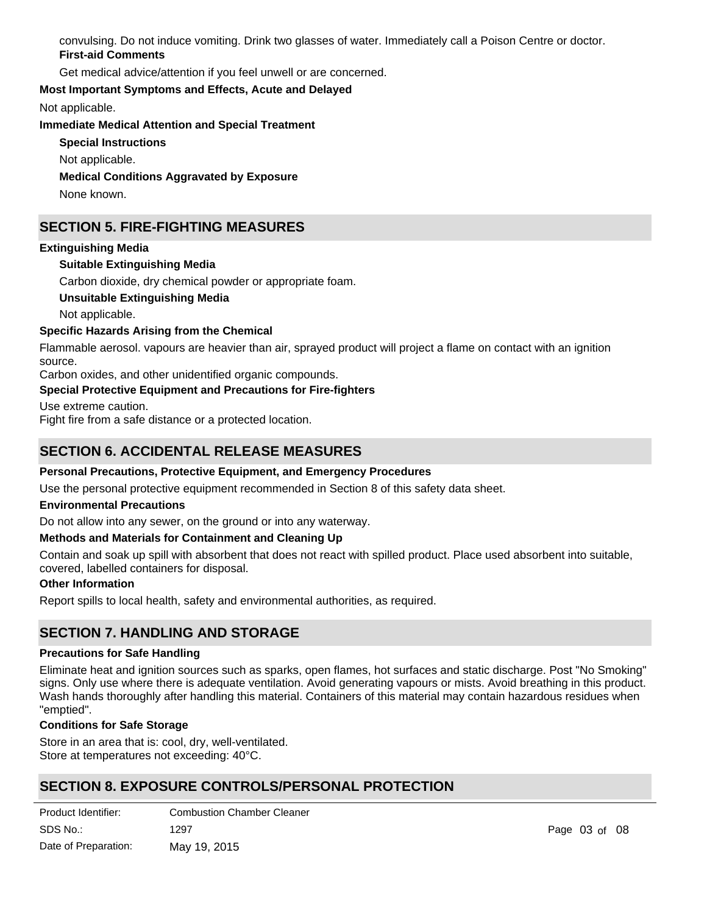convulsing. Do not induce vomiting. Drink two glasses of water. Immediately call a Poison Centre or doctor. **First-aid Comments**

Get medical advice/attention if you feel unwell or are concerned.

# **Most Important Symptoms and Effects, Acute and Delayed**

Not applicable.

**Immediate Medical Attention and Special Treatment**

**Special Instructions**

Not applicable.

**Medical Conditions Aggravated by Exposure**

None known.

# **SECTION 5. FIRE-FIGHTING MEASURES**

# **Extinguishing Media**

**Suitable Extinguishing Media**

Carbon dioxide, dry chemical powder or appropriate foam.

**Unsuitable Extinguishing Media**

Not applicable.

# **Specific Hazards Arising from the Chemical**

Flammable aerosol. vapours are heavier than air, sprayed product will project a flame on contact with an ignition source.

Carbon oxides, and other unidentified organic compounds.

# **Special Protective Equipment and Precautions for Fire-fighters**

Use extreme caution.

Fight fire from a safe distance or a protected location.

# **SECTION 6. ACCIDENTAL RELEASE MEASURES**

# **Personal Precautions, Protective Equipment, and Emergency Procedures**

Use the personal protective equipment recommended in Section 8 of this safety data sheet.

## **Environmental Precautions**

Do not allow into any sewer, on the ground or into any waterway.

## **Methods and Materials for Containment and Cleaning Up**

Contain and soak up spill with absorbent that does not react with spilled product. Place used absorbent into suitable, covered, labelled containers for disposal.

## **Other Information**

Report spills to local health, safety and environmental authorities, as required.

# **SECTION 7. HANDLING AND STORAGE**

## **Precautions for Safe Handling**

Eliminate heat and ignition sources such as sparks, open flames, hot surfaces and static discharge. Post "No Smoking" signs. Only use where there is adequate ventilation. Avoid generating vapours or mists. Avoid breathing in this product. Wash hands thoroughly after handling this material. Containers of this material may contain hazardous residues when "emptied".

## **Conditions for Safe Storage**

Store in an area that is: cool, dry, well-ventilated. Store at temperatures not exceeding: 40°C.

# **SECTION 8. EXPOSURE CONTROLS/PERSONAL PROTECTION**

| Product Identifier:  | <b>Combustion Chamber Cleaner</b> |
|----------------------|-----------------------------------|
| SDS No.:             | 1297                              |
| Date of Preparation: | May 19, 2015                      |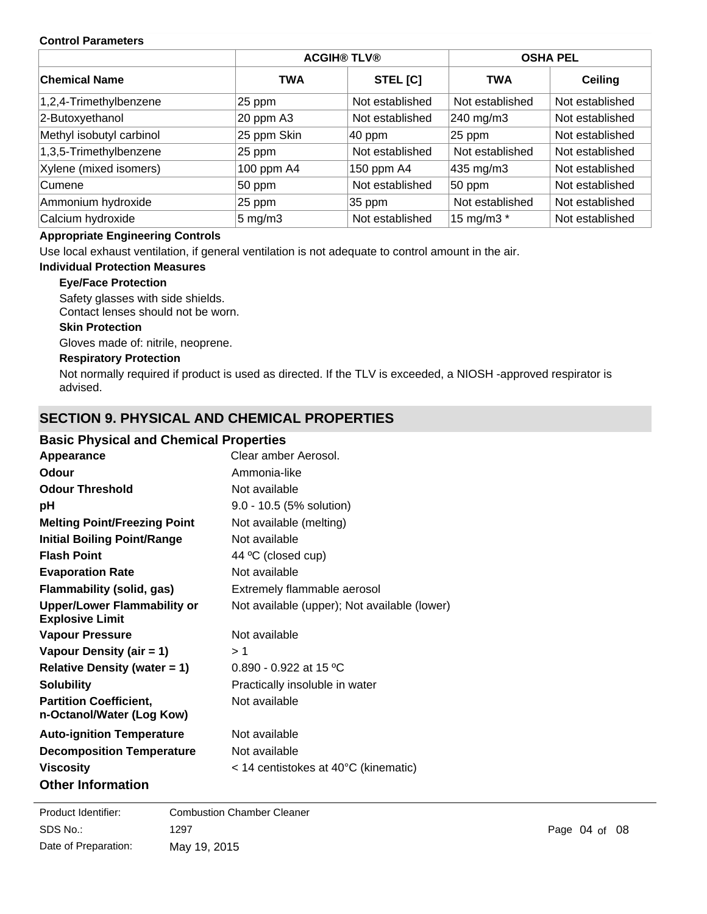#### **Control Parameters**

|                          |                    | <b>ACGIH® TLV®</b> | <b>OSHA PEL</b> |                 |
|--------------------------|--------------------|--------------------|-----------------|-----------------|
| <b>Chemical Name</b>     | <b>TWA</b>         | STEL [C]           | <b>TWA</b>      | <b>Ceiling</b>  |
| 1,2,4-Trimethylbenzene   | 25 ppm             | Not established    | Not established | Not established |
| 2-Butoxyethanol          | 20 ppm A3          | Not established    | 240 mg/m3       | Not established |
| Methyl isobutyl carbinol | 25 ppm Skin        | $ 40$ ppm          | 25 ppm          | Not established |
| 1,3,5-Trimethylbenzene   | 25 ppm             | Not established    | Not established | Not established |
| Xylene (mixed isomers)   | 100 ppm A4         | 150 ppm A4         | 435 mg/m3       | Not established |
| Cumene                   | 50 ppm             | Not established    | 50 ppm          | Not established |
| Ammonium hydroxide       | 25 ppm             | $35$ ppm           | Not established | Not established |
| Calcium hydroxide        | $5 \text{ mg/m}$ 3 | Not established    | 15 mg/m3 *      | Not established |

# **Appropriate Engineering Controls**

Use local exhaust ventilation, if general ventilation is not adequate to control amount in the air.

# **Individual Protection Measures**

# **Eye/Face Protection**

Safety glasses with side shields.

Contact lenses should not be worn.

## **Skin Protection**

Gloves made of: nitrile, neoprene.

#### **Respiratory Protection**

Not normally required if product is used as directed. If the TLV is exceeded, a NIOSH -approved respirator is advised.

# **SECTION 9. PHYSICAL AND CHEMICAL PROPERTIES**

# **Basic Physical and Chemical Properties**

| Appearance                                                   | Clear amber Aerosol.                             |
|--------------------------------------------------------------|--------------------------------------------------|
| Odour                                                        | Ammonia-like                                     |
| <b>Odour Threshold</b>                                       | Not available                                    |
| рH                                                           | 9.0 - 10.5 (5% solution)                         |
| <b>Melting Point/Freezing Point</b>                          | Not available (melting)                          |
| <b>Initial Boiling Point/Range</b>                           | Not available                                    |
| <b>Flash Point</b>                                           | 44 °C (closed cup)                               |
| <b>Evaporation Rate</b>                                      | Not available                                    |
| Flammability (solid, gas)                                    | Extremely flammable aerosol                      |
| <b>Upper/Lower Flammability or</b><br><b>Explosive Limit</b> | Not available (upper); Not available (lower)     |
| <b>Vapour Pressure</b>                                       | Not available                                    |
| Vapour Density (air = 1)                                     | > 1                                              |
| <b>Relative Density (water = 1)</b>                          | 0.890 - 0.922 at 15 °C                           |
| <b>Solubility</b>                                            | Practically insoluble in water                   |
| <b>Partition Coefficient,</b><br>n-Octanol/Water (Log Kow)   | Not available                                    |
| <b>Auto-ignition Temperature</b>                             | Not available                                    |
| <b>Decomposition Temperature</b>                             | Not available                                    |
| <b>Viscosity</b>                                             | $<$ 14 centistokes at 40 $\degree$ C (kinematic) |
| <b>Other Information</b>                                     |                                                  |

**VOCAL AND SERVICE STATE OF A 67 YEAR OLD FINE STATE OF A 67 YEAR OLD FINE STATE OF A 67 YEAR OLD FINE STATE OF** SDS No.: Date of Preparation: 1297 **Page 04 of 08** May 19, 2015 Product Identifier: Combustion Chamber Cleaner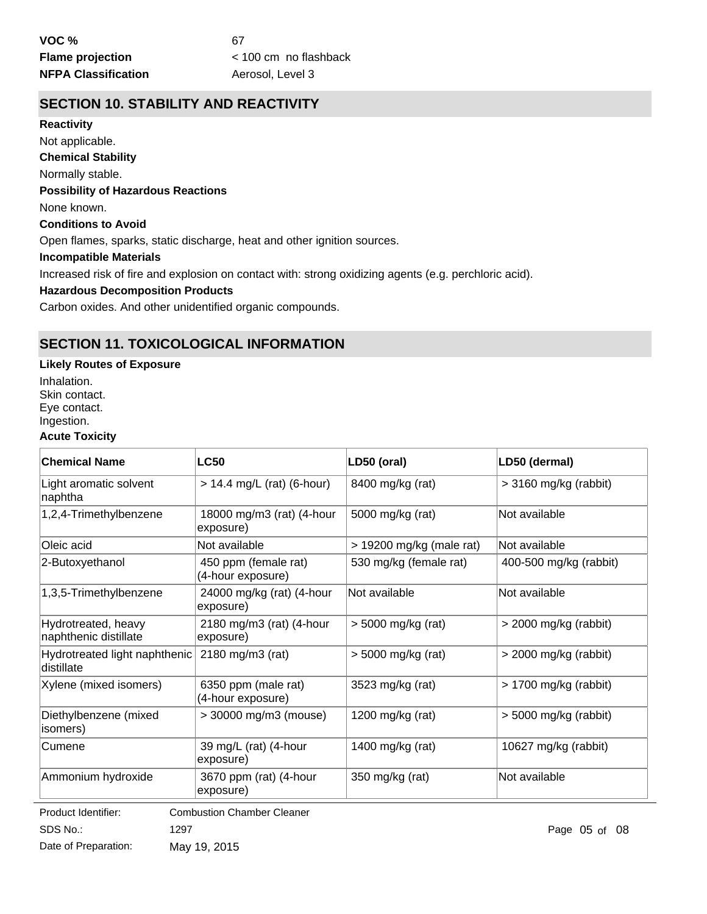# **SECTION 10. STABILITY AND REACTIVITY**

**Chemical Stability** Normally stable. **Conditions to Avoid** Open flames, sparks, static discharge, heat and other ignition sources. **Incompatible Materials** Increased risk of fire and explosion on contact with: strong oxidizing agents (e.g. perchloric acid). **Hazardous Decomposition Products Possibility of Hazardous Reactions** None known. **Reactivity** Not applicable.

Carbon oxides. And other unidentified organic compounds.

# **SECTION 11. TOXICOLOGICAL INFORMATION**

# **Likely Routes of Exposure**

Inhalation. Skin contact. Eye contact. Ingestion.

## **Acute Toxicity**

| <b>Chemical Name</b>                                   | <b>LC50</b>                               | LD50 (oral)                | LD50 (dermal)           |  |
|--------------------------------------------------------|-------------------------------------------|----------------------------|-------------------------|--|
| Light aromatic solvent<br>naphtha                      | $> 14.4$ mg/L (rat) (6-hour)              | 8400 mg/kg (rat)           | > 3160 mg/kg (rabbit)   |  |
| 1,2,4-Trimethylbenzene                                 | 18000 mg/m3 (rat) (4-hour<br>exposure)    | 5000 mg/kg (rat)           | Not available           |  |
| Oleic acid                                             | Not available                             | $>$ 19200 mg/kg (male rat) | Not available           |  |
| 2-Butoxyethanol                                        | 450 ppm (female rat)<br>(4-hour exposure) | 530 mg/kg (female rat)     | 400-500 mg/kg (rabbit)  |  |
| 1,3,5-Trimethylbenzene                                 | 24000 mg/kg (rat) (4-hour<br>exposure)    | Not available              | Not available           |  |
| Hydrotreated, heavy<br>naphthenic distillate           | 2180 mg/m3 (rat) (4-hour<br>exposure)     | > 5000 mg/kg (rat)         | > 2000 mg/kg (rabbit)   |  |
| Hydrotreated light naphthenic<br>distillate            | 2180 mg/m3 (rat)                          | > 5000 mg/kg (rat)         | > 2000 mg/kg (rabbit)   |  |
| Xylene (mixed isomers)                                 | 6350 ppm (male rat)<br>(4-hour exposure)  | 3523 mg/kg (rat)           | $> 1700$ mg/kg (rabbit) |  |
| Diethylbenzene (mixed<br>isomers)                      | > 30000 mg/m3 (mouse)                     | 1200 mg/kg (rat)           | > 5000 mg/kg (rabbit)   |  |
| Cumene                                                 | 39 mg/L (rat) (4-hour<br>exposure)        | 1400 mg/kg (rat)           | 10627 mg/kg (rabbit)    |  |
| Ammonium hydroxide                                     | 3670 ppm (rat) (4-hour<br>exposure)       | 350 mg/kg (rat)            | Not available           |  |
| Daniel i de la dell'estr<br>Combustion Chamber Cleaner |                                           |                            |                         |  |

SDS No.: Date of Preparation: 1297 Page 05 of 08 May 19, 2015 Product Identifier: Combustion Chamber Cleaner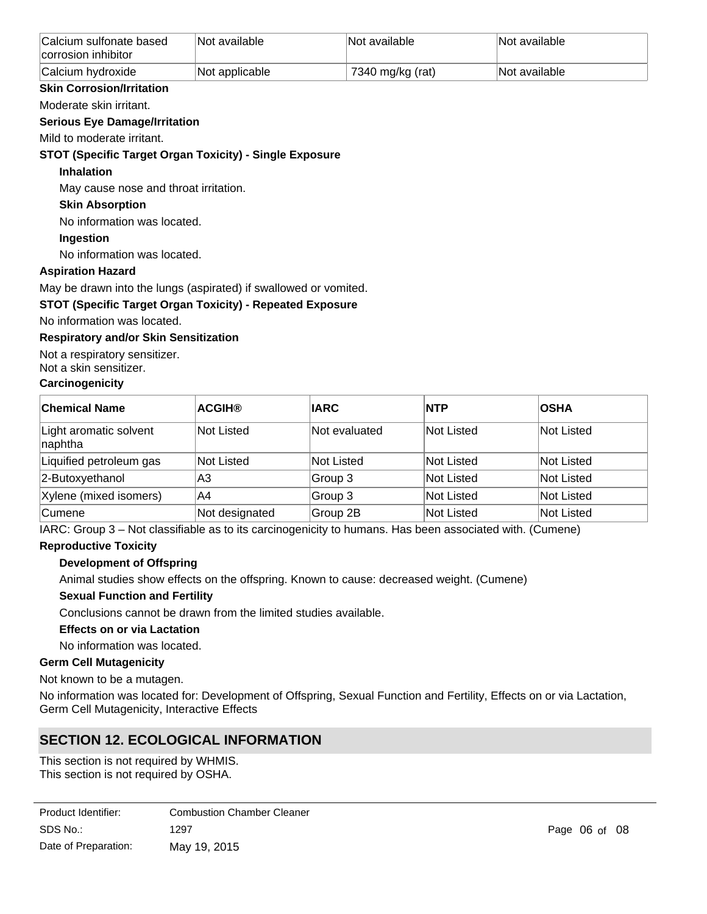| Calcium sulfonate based<br>corrosion inhibitor | Not available  | ∣Not available∶  | <b>Not available</b> |
|------------------------------------------------|----------------|------------------|----------------------|
| Calcium hydroxide                              | Not applicable | 7340 mg/kg (rat) | <b>Not available</b> |

# **Skin Corrosion/Irritation**

Moderate skin irritant.

## **Serious Eye Damage/Irritation**

Mild to moderate irritant.

# **STOT (Specific Target Organ Toxicity) - Single Exposure**

## **Inhalation**

May cause nose and throat irritation.

# **Skin Absorption**

No information was located.

# **Ingestion**

No information was located.

# **Aspiration Hazard**

May be drawn into the lungs (aspirated) if swallowed or vomited.

# **STOT (Specific Target Organ Toxicity) - Repeated Exposure**

No information was located.

# **Respiratory and/or Skin Sensitization**

Not a respiratory sensitizer.

Not a skin sensitizer.

# **Carcinogenicity**

| <b>Chemical Name</b>              | <b>ACGIH®</b>  | <b>IARC</b>   | <b>NTP</b> | <b>OSHA</b> |
|-----------------------------------|----------------|---------------|------------|-------------|
| Light aromatic solvent<br>naphtha | Not Listed     | Not evaluated | Not Listed | Not Listed  |
| Liquified petroleum gas           | Not Listed     | Not Listed    | Not Listed | Not Listed  |
| 2-Butoxyethanol                   | A3             | Group 3       | Not Listed | Not Listed  |
| Xylene (mixed isomers)            | A4             | Group 3       | Not Listed | Not Listed  |
| <b>Cumene</b>                     | Not designated | Group 2B      | Not Listed | Not Listed  |

IARC: Group 3 – Not classifiable as to its carcinogenicity to humans. Has been associated with. (Cumene)

# **Reproductive Toxicity**

# **Development of Offspring**

Animal studies show effects on the offspring. Known to cause: decreased weight. (Cumene)

# **Sexual Function and Fertility**

Conclusions cannot be drawn from the limited studies available.

# **Effects on or via Lactation**

No information was located.

## **Germ Cell Mutagenicity**

Not known to be a mutagen.

No information was located for: Development of Offspring, Sexual Function and Fertility, Effects on or via Lactation, Germ Cell Mutagenicity, Interactive Effects

# **SECTION 12. ECOLOGICAL INFORMATION**

This section is not required by WHMIS. This section is not required by OSHA.

| Product Identifier:  | <b>Combustion Chamber Cleaner</b> |
|----------------------|-----------------------------------|
| SDS No.:             | 1297                              |
| Date of Preparation: | May 19, 2015                      |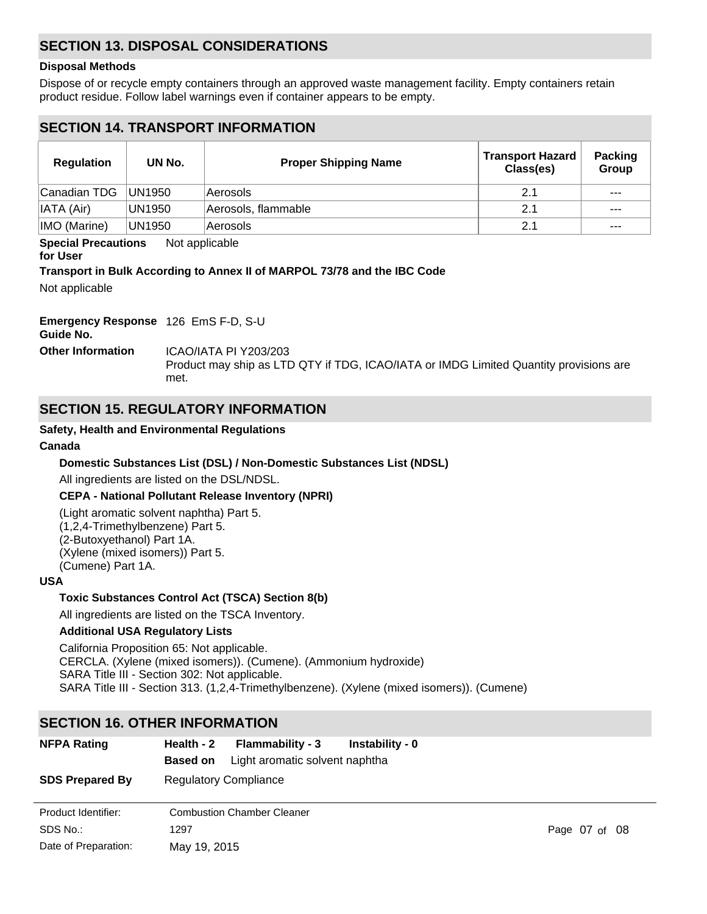# **SECTION 13. DISPOSAL CONSIDERATIONS**

### **Disposal Methods**

Dispose of or recycle empty containers through an approved waste management facility. Empty containers retain product residue. Follow label warnings even if container appears to be empty.

# **SECTION 14. TRANSPORT INFORMATION**

| <b>Regulation</b>      | UN No.  | <b>Proper Shipping Name</b> | <b>Transport Hazard</b><br>Class(es) | <b>Packing</b><br>Group |
|------------------------|---------|-----------------------------|--------------------------------------|-------------------------|
| Canadian TDG           | IUN1950 | ∣Aerosols                   | 2.1                                  | $- - -$                 |
| $\parallel$ IATA (Air) | UN1950  | Aerosols, flammable         | 2.1                                  | $---$                   |
| IMO (Marine)           | UN1950  | Aerosols                    | 2.1                                  | $- - -$                 |

**Special Precautions** Not applicable

#### **for User**

## **Transport in Bulk According to Annex II of MARPOL 73/78 and the IBC Code**

Not applicable

# **Emergency Response** 126 EmS F-D, S-U

**Guide No.**

**Other Information** ICAO/IATA PI Y203/203

Product may ship as LTD QTY if TDG, ICAO/IATA or IMDG Limited Quantity provisions are met.

# **SECTION 15. REGULATORY INFORMATION**

# **Safety, Health and Environmental Regulations**

## **Canada**

# **Domestic Substances List (DSL) / Non-Domestic Substances List (NDSL)**

All ingredients are listed on the DSL/NDSL.

## **CEPA - National Pollutant Release Inventory (NPRI)**

(Light aromatic solvent naphtha) Part 5. (1,2,4-Trimethylbenzene) Part 5. (2-Butoxyethanol) Part 1A. (Xylene (mixed isomers)) Part 5. (Cumene) Part 1A.

## **USA**

# **Toxic Substances Control Act (TSCA) Section 8(b)**

All ingredients are listed on the TSCA Inventory.

## **Additional USA Regulatory Lists**

California Proposition 65: Not applicable. CERCLA. (Xylene (mixed isomers)). (Cumene). (Ammonium hydroxide) SARA Title III - Section 302: Not applicable. SARA Title III - Section 313. (1,2,4-Trimethylbenzene). (Xylene (mixed isomers)). (Cumene)

# **SECTION 16. OTHER INFORMATION**

| <b>NFPA Rating</b>     | Health - 2      | <b>Flammability - 3</b>           | Instability - 0 |               |
|------------------------|-----------------|-----------------------------------|-----------------|---------------|
|                        | <b>Based on</b> | Light aromatic solvent naphtha    |                 |               |
| <b>SDS Prepared By</b> |                 | <b>Regulatory Compliance</b>      |                 |               |
| Product Identifier:    |                 | <b>Combustion Chamber Cleaner</b> |                 |               |
| SDS No.:               | 1297            |                                   |                 | Page 07 of 08 |
| Date of Preparation:   | May 19, 2015    |                                   |                 |               |